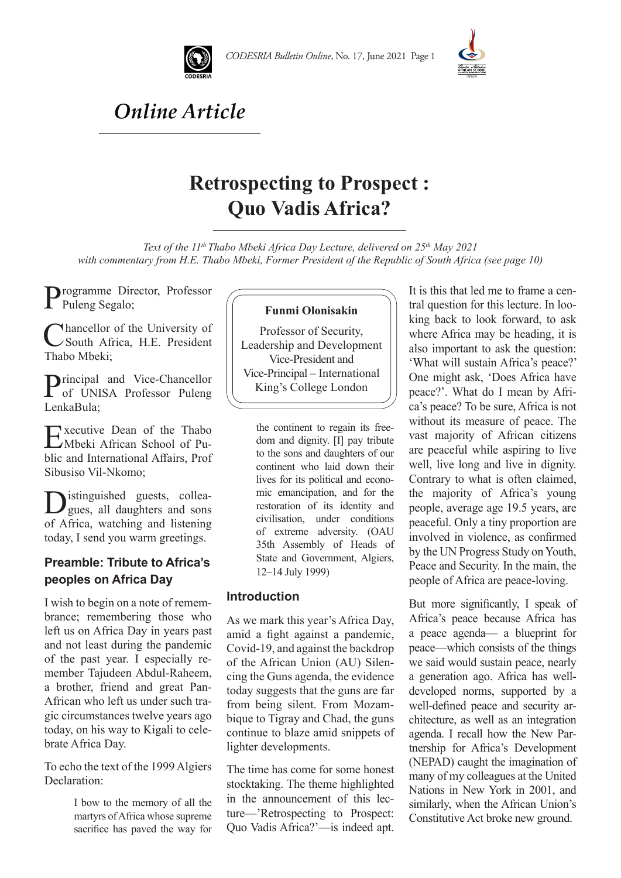



# *Online Article*

# **Retrospecting to Prospect : Quo Vadis Africa?**

Text of the 11<sup>th</sup> Thabo Mbeki Africa Day Lecture, delivered on 25<sup>th</sup> May 2021 *with commentary from H.E. Thabo Mbeki, Former President of the Republic of South Africa (see page 10)*

Programme Director, Professor Puleng Segalo;

**Mancellor of the University of** South Africa, H.E. President Thabo Mbeki;

Principal and Vice-Chancellor of UNISA Professor Puleng LenkaBula;

Executive Dean of the Thabo Mbeki African School of Public and International Affairs, Prof Sibusiso Vil-Nkomo;

Distinguished guests, collea-<br>gues, all daughters and sons of Africa, watching and listening today, I send you warm greetings.

### **Preamble: Tribute to Africa's peoples on Africa Day**

I wish to begin on a note of remembrance; remembering those who left us on Africa Day in years past and not least during the pandemic of the past year. I especially remember Tajudeen Abdul-Raheem, a brother, friend and great Pan-African who left us under such tragic circumstances twelve years ago today, on his way to Kigali to celebrate Africa Day.

To echo the text of the 1999 Algiers Declaration:

> I bow to the memory of all the martyrs of Africa whose supreme sacrifice has paved the way for

#### **Funmi Olonisakin**

Professor of Security, Leadership and Development Vice-President and Vice-Principal – International King's College London

the continent to regain its freedom and dignity. [I] pay tribute to the sons and daughters of our continent who laid down their lives for its political and economic emancipation, and for the restoration of its identity and civilisation, under conditions of extreme adversity. (OAU 35th Assembly of Heads of State and Government, Algiers, 12–14 July 1999)

#### **Introduction**

As we mark this year's Africa Day, amid a fight against a pandemic, Covid-19, and against the backdrop of the African Union (AU) Silencing the Guns agenda, the evidence today suggests that the guns are far from being silent. From Mozambique to Tigray and Chad, the guns continue to blaze amid snippets of lighter developments.

The time has come for some honest stocktaking. The theme highlighted in the announcement of this lecture—'Retrospecting to Prospect: Quo Vadis Africa?'—is indeed apt. It is this that led me to frame a central question for this lecture. In looking back to look forward, to ask where Africa may be heading, it is also important to ask the question: 'What will sustain Africa's peace?' One might ask, 'Does Africa have peace?'. What do I mean by Africa's peace? To be sure, Africa is not without its measure of peace. The vast majority of African citizens are peaceful while aspiring to live well, live long and live in dignity. Contrary to what is often claimed, the majority of Africa's young people, average age 19.5 years, are peaceful. Only a tiny proportion are involved in violence, as confirmed by the UN Progress Study on Youth, Peace and Security. In the main, the people of Africa are peace-loving.

But more significantly, I speak of Africa's peace because Africa has a peace agenda— a blueprint for peace—which consists of the things we said would sustain peace, nearly a generation ago. Africa has welldeveloped norms, supported by a well-defined peace and security architecture, as well as an integration agenda. I recall how the New Partnership for Africa's Development (NEPAD) caught the imagination of many of my colleagues at the United Nations in New York in 2001, and similarly, when the African Union's Constitutive Act broke new ground.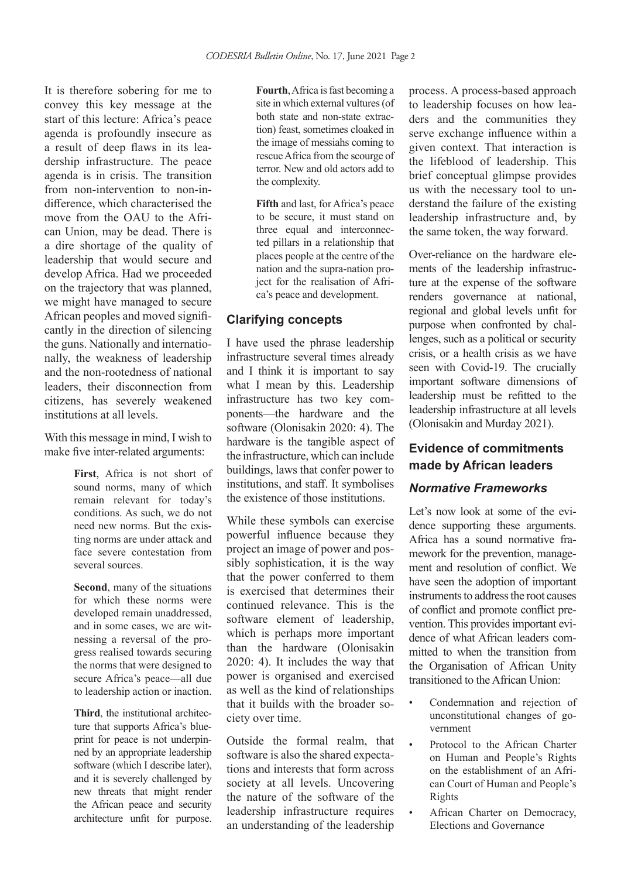It is therefore sobering for me to convey this key message at the start of this lecture: Africa's peace agenda is profoundly insecure as a result of deep flaws in its leadership infrastructure. The peace agenda is in crisis. The transition from non-intervention to non-indifference, which characterised the move from the OAU to the African Union, may be dead. There is a dire shortage of the quality of leadership that would secure and develop Africa. Had we proceeded on the trajectory that was planned, we might have managed to secure African peoples and moved significantly in the direction of silencing the guns. Nationally and internationally, the weakness of leadership and the non-rootedness of national leaders, their disconnection from citizens, has severely weakened institutions at all levels.

With this message in mind, I wish to make five inter-related arguments:

> **First**, Africa is not short of sound norms, many of which remain relevant for today's conditions. As such, we do not need new norms. But the existing norms are under attack and face severe contestation from several sources.

> **Second**, many of the situations for which these norms were developed remain unaddressed, and in some cases, we are witnessing a reversal of the progress realised towards securing the norms that were designed to secure Africa's peace—all due to leadership action or inaction.

> **Third**, the institutional architecture that supports Africa's blueprint for peace is not underpinned by an appropriate leadership software (which I describe later), and it is severely challenged by new threats that might render the African peace and security architecture unfit for purpose.

**Fourth**, Africa is fast becoming a site in which external vultures (of both state and non-state extraction) feast, sometimes cloaked in the image of messiahs coming to rescue Africa from the scourge of terror. New and old actors add to the complexity.

**Fifth** and last, for Africa's peace to be secure, it must stand on three equal and interconnected pillars in a relationship that places people at the centre of the nation and the supra-nation project for the realisation of Africa's peace and development.

#### **Clarifying concepts**

I have used the phrase leadership infrastructure several times already and I think it is important to say what I mean by this. Leadership infrastructure has two key components—the hardware and the software (Olonisakin 2020: 4). The hardware is the tangible aspect of the infrastructure, which can include buildings, laws that confer power to institutions, and staff. It symbolises the existence of those institutions.

While these symbols can exercise powerful influence because they project an image of power and possibly sophistication, it is the way that the power conferred to them is exercised that determines their continued relevance. This is the software element of leadership, which is perhaps more important than the hardware (Olonisakin 2020: 4). It includes the way that power is organised and exercised as well as the kind of relationships that it builds with the broader society over time.

Outside the formal realm, that software is also the shared expectations and interests that form across society at all levels. Uncovering the nature of the software of the leadership infrastructure requires an understanding of the leadership

process. A process-based approach to leadership focuses on how leaders and the communities they serve exchange influence within a given context. That interaction is the lifeblood of leadership. This brief conceptual glimpse provides us with the necessary tool to understand the failure of the existing leadership infrastructure and, by the same token, the way forward.

Over-reliance on the hardware elements of the leadership infrastructure at the expense of the software renders governance at national, regional and global levels unfit for purpose when confronted by challenges, such as a political or security crisis, or a health crisis as we have seen with Covid-19. The crucially important software dimensions of leadership must be refitted to the leadership infrastructure at all levels (Olonisakin and Murday 2021).

## **Evidence of commitments made by African leaders**

#### *Normative Frameworks*

Let's now look at some of the evidence supporting these arguments. Africa has a sound normative framework for the prevention, management and resolution of conflict. We have seen the adoption of important instruments to address the root causes of conflict and promote conflict prevention. This provides important evidence of what African leaders committed to when the transition from the Organisation of African Unity transitioned to the African Union:

- Condemnation and rejection of unconstitutional changes of government
- Protocol to the African Charter on Human and People's Rights on the establishment of an African Court of Human and People's Rights
- African Charter on Democracy, Elections and Governance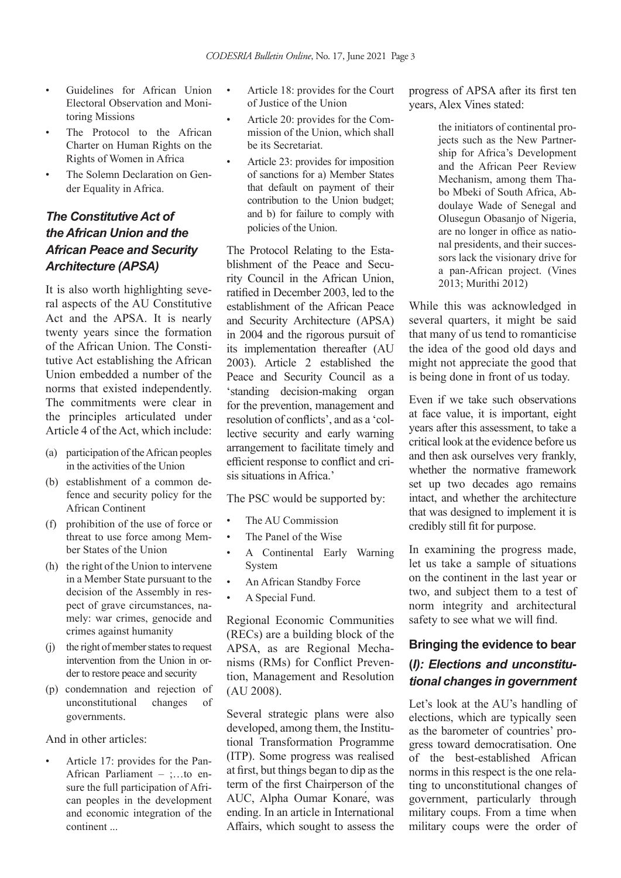- Guidelines for African Union Electoral Observation and Monitoring Missions
- The Protocol to the African Charter on Human Rights on the Rights of Women in Africa
- The Solemn Declaration on Gender Equality in Africa.

## *The Constitutive Act of the African Union and the African Peace and Security Architecture (APSA)*

It is also worth highlighting several aspects of the AU Constitutive Act and the APSA. It is nearly twenty years since the formation of the African Union. The Constitutive Act establishing the African Union embedded a number of the norms that existed independently. The commitments were clear in the principles articulated under Article 4 of the Act, which include:

- (a) participation of the African peoples in the activities of the Union
- (b) establishment of a common defence and security policy for the African Continent
- (f) prohibition of the use of force or threat to use force among Member States of the Union
- (h) the right of the Union to intervene in a Member State pursuant to the decision of the Assembly in respect of grave circumstances, namely: war crimes, genocide and crimes against humanity
- (j) the right of member states to request intervention from the Union in order to restore peace and security
- (p) condemnation and rejection of unconstitutional changes of governments.

And in other articles:

• Article 17: provides for the Pan-African Parliament – ;…to ensure the full participation of African peoples in the development and economic integration of the continent ...

- Article 18: provides for the Court of Justice of the Union
- Article 20: provides for the Commission of the Union, which shall be its Secretariat.
- Article 23: provides for imposition of sanctions for a) Member States that default on payment of their contribution to the Union budget; and b) for failure to comply with policies of the Union.

The Protocol Relating to the Establishment of the Peace and Security Council in the African Union, ratified in December 2003, led to the establishment of the African Peace and Security Architecture (APSA) in 2004 and the rigorous pursuit of its implementation thereafter (AU 2003). Article 2 established the Peace and Security Council as a 'standing decision-making organ for the prevention, management and resolution of conflicts', and as a 'collective security and early warning arrangement to facilitate timely and efficient response to conflict and crisis situations in Africa.'

The PSC would be supported by:

- The AU Commission
- The Panel of the Wise
- A Continental Early Warning System
- An African Standby Force
- A Special Fund.

Regional Economic Communities (RECs) are a building block of the APSA, as are Regional Mechanisms (RMs) for Conflict Prevention, Management and Resolution (AU 2008).

Several strategic plans were also developed, among them, the Institutional Transformation Programme (ITP). Some progress was realised at first, but things began to dip as the term of the first Chairperson of the AUC, Alpha Oumar Konaré, was ending. In an article in International Affairs, which sought to assess the progress of APSA after its first ten years, Alex Vines stated:

> the initiators of continental projects such as the New Partnership for Africa's Development and the African Peer Review Mechanism, among them Thabo Mbeki of South Africa, Abdoulaye Wade of Senegal and Olusegun Obasanjo of Nigeria, are no longer in office as national presidents, and their successors lack the visionary drive for a pan-African project. (Vines 2013; Murithi 2012)

While this was acknowledged in several quarters, it might be said that many of us tend to romanticise the idea of the good old days and might not appreciate the good that is being done in front of us today.

Even if we take such observations at face value, it is important, eight years after this assessment, to take a critical look at the evidence before us and then ask ourselves very frankly, whether the normative framework set up two decades ago remains intact, and whether the architecture that was designed to implement it is credibly still fit for purpose.

In examining the progress made, let us take a sample of situations on the continent in the last year or two, and subject them to a test of norm integrity and architectural safety to see what we will find.

## **Bringing the evidence to bear (***I): Elections and unconstitutional changes in government*

Let's look at the AU's handling of elections, which are typically seen as the barometer of countries' progress toward democratisation. One of the best-established African norms in this respect is the one relating to unconstitutional changes of government, particularly through military coups. From a time when military coups were the order of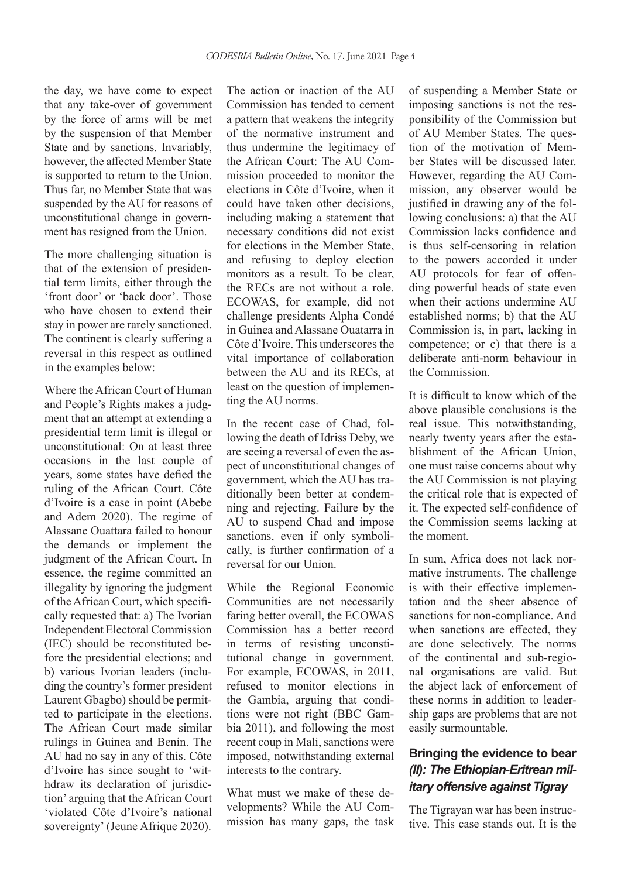the day, we have come to expect that any take-over of government by the force of arms will be met by the suspension of that Member State and by sanctions. Invariably, however, the affected Member State is supported to return to the Union. Thus far, no Member State that was suspended by the AU for reasons of unconstitutional change in government has resigned from the Union.

The more challenging situation is that of the extension of presidential term limits, either through the 'front door' or 'back door'. Those who have chosen to extend their stay in power are rarely sanctioned. The continent is clearly suffering a reversal in this respect as outlined in the examples below:

Where the African Court of Human and People's Rights makes a judgment that an attempt at extending a presidential term limit is illegal or unconstitutional: On at least three occasions in the last couple of years, some states have defied the ruling of the African Court. Côte d'Ivoire is a case in point (Abebe and Adem 2020). The regime of Alassane Ouattara failed to honour the demands or implement the judgment of the African Court. In essence, the regime committed an illegality by ignoring the judgment of the African Court, which specifically requested that: a) The Ivorian Independent Electoral Commission (IEC) should be reconstituted before the presidential elections; and b) various Ivorian leaders (including the country's former president Laurent Gbagbo) should be permitted to participate in the elections. The African Court made similar rulings in Guinea and Benin. The AU had no say in any of this. Côte d'Ivoire has since sought to 'withdraw its declaration of jurisdiction' arguing that the African Court 'violated Côte d'Ivoire's national sovereignty' (Jeune Afrique 2020).

The action or inaction of the AU Commission has tended to cement a pattern that weakens the integrity of the normative instrument and thus undermine the legitimacy of the African Court: The AU Commission proceeded to monitor the elections in Côte d'Ivoire, when it could have taken other decisions, including making a statement that necessary conditions did not exist for elections in the Member State, and refusing to deploy election monitors as a result. To be clear, the RECs are not without a role. ECOWAS, for example, did not challenge presidents Alpha Condé in Guinea and Alassane Ouatarra in Côte d'Ivoire. This underscores the vital importance of collaboration between the AU and its RECs, at least on the question of implementing the AU norms.

In the recent case of Chad, following the death of Idriss Deby, we are seeing a reversal of even the aspect of unconstitutional changes of government, which the AU has traditionally been better at condemning and rejecting. Failure by the AU to suspend Chad and impose sanctions, even if only symbolically, is further confirmation of a reversal for our Union.

While the Regional Economic Communities are not necessarily faring better overall, the ECOWAS Commission has a better record in terms of resisting unconstitutional change in government. For example, ECOWAS, in 2011, refused to monitor elections in the Gambia, arguing that conditions were not right (BBC Gambia 2011), and following the most recent coup in Mali, sanctions were imposed, notwithstanding external interests to the contrary.

What must we make of these developments? While the AU Commission has many gaps, the task of suspending a Member State or imposing sanctions is not the responsibility of the Commission but of AU Member States. The question of the motivation of Member States will be discussed later. However, regarding the AU Commission, any observer would be justified in drawing any of the following conclusions: a) that the AU Commission lacks confidence and is thus self-censoring in relation to the powers accorded it under AU protocols for fear of offending powerful heads of state even when their actions undermine AU established norms; b) that the AU Commission is, in part, lacking in competence; or c) that there is a deliberate anti-norm behaviour in the Commission.

It is difficult to know which of the above plausible conclusions is the real issue. This notwithstanding, nearly twenty years after the establishment of the African Union, one must raise concerns about why the AU Commission is not playing the critical role that is expected of it. The expected self-confidence of the Commission seems lacking at the moment.

In sum, Africa does not lack normative instruments. The challenge is with their effective implementation and the sheer absence of sanctions for non-compliance. And when sanctions are effected, they are done selectively. The norms of the continental and sub-regional organisations are valid. But the abject lack of enforcement of these norms in addition to leadership gaps are problems that are not easily surmountable.

### **Bringing the evidence to bear**  *(II): The Ethiopian-Eritrean military offensive against Tigray*

The Tigrayan war has been instructive. This case stands out. It is the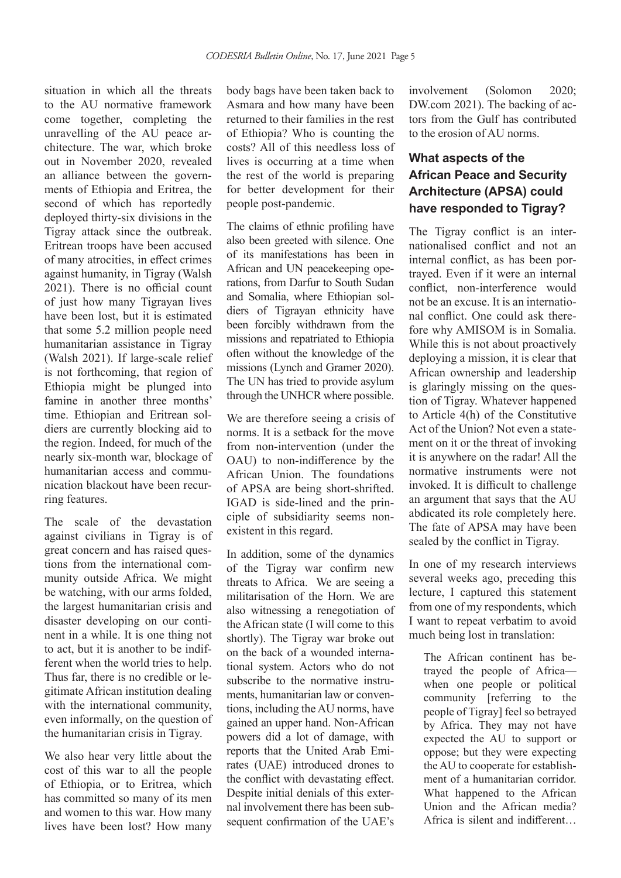situation in which all the threats to the AU normative framework come together, completing the unravelling of the AU peace architecture. The war, which broke out in November 2020, revealed an alliance between the governments of Ethiopia and Eritrea, the second of which has reportedly deployed thirty-six divisions in the Tigray attack since the outbreak. Eritrean troops have been accused of many atrocities, in effect crimes against humanity, in Tigray (Walsh 2021). There is no official count of just how many Tigrayan lives have been lost, but it is estimated that some 5.2 million people need humanitarian assistance in Tigray (Walsh 2021). If large-scale relief is not forthcoming, that region of Ethiopia might be plunged into famine in another three months' time. Ethiopian and Eritrean soldiers are currently blocking aid to the region. Indeed, for much of the nearly six-month war, blockage of humanitarian access and communication blackout have been recurring features.

The scale of the devastation against civilians in Tigray is of great concern and has raised questions from the international community outside Africa. We might be watching, with our arms folded, the largest humanitarian crisis and disaster developing on our continent in a while. It is one thing not to act, but it is another to be indifferent when the world tries to help. Thus far, there is no credible or legitimate African institution dealing with the international community, even informally, on the question of the humanitarian crisis in Tigray.

We also hear very little about the cost of this war to all the people of Ethiopia, or to Eritrea, which has committed so many of its men and women to this war. How many lives have been lost? How many body bags have been taken back to Asmara and how many have been returned to their families in the rest of Ethiopia? Who is counting the costs? All of this needless loss of lives is occurring at a time when the rest of the world is preparing for better development for their people post-pandemic.

The claims of ethnic profiling have also been greeted with silence. One of its manifestations has been in African and UN peacekeeping operations, from Darfur to South Sudan and Somalia, where Ethiopian soldiers of Tigrayan ethnicity have been forcibly withdrawn from the missions and repatriated to Ethiopia often without the knowledge of the missions (Lynch and Gramer 2020). The UN has tried to provide asylum through the UNHCR where possible.

We are therefore seeing a crisis of norms. It is a setback for the move from non-intervention (under the OAU) to non-indifference by the African Union. The foundations of APSA are being short-shrifted. IGAD is side-lined and the principle of subsidiarity seems nonexistent in this regard.

In addition, some of the dynamics of the Tigray war confirm new threats to Africa. We are seeing a militarisation of the Horn. We are also witnessing a renegotiation of the African state (I will come to this shortly). The Tigray war broke out on the back of a wounded international system. Actors who do not subscribe to the normative instruments, humanitarian law or conventions, including the AU norms, have gained an upper hand. Non-African powers did a lot of damage, with reports that the United Arab Emirates (UAE) introduced drones to the conflict with devastating effect. Despite initial denials of this external involvement there has been subsequent confirmation of the UAE's

involvement (Solomon 2020; DW.com 2021). The backing of actors from the Gulf has contributed to the erosion of AU norms.

## **What aspects of the African Peace and Security Architecture (APSA) could have responded to Tigray?**

The Tigray conflict is an internationalised conflict and not an internal conflict, as has been portrayed. Even if it were an internal conflict, non-interference would not be an excuse. It is an international conflict. One could ask therefore why AMISOM is in Somalia. While this is not about proactively deploying a mission, it is clear that African ownership and leadership is glaringly missing on the question of Tigray. Whatever happened to Article 4(h) of the Constitutive Act of the Union? Not even a statement on it or the threat of invoking it is anywhere on the radar! All the normative instruments were not invoked. It is difficult to challenge an argument that says that the AU abdicated its role completely here. The fate of APSA may have been sealed by the conflict in Tigray.

In one of my research interviews several weeks ago, preceding this lecture, I captured this statement from one of my respondents, which I want to repeat verbatim to avoid much being lost in translation:

The African continent has betrayed the people of Africa when one people or political community [referring to the people of Tigray] feel so betrayed by Africa. They may not have expected the AU to support or oppose; but they were expecting the AU to cooperate for establishment of a humanitarian corridor. What happened to the African Union and the African media? Africa is silent and indifferent…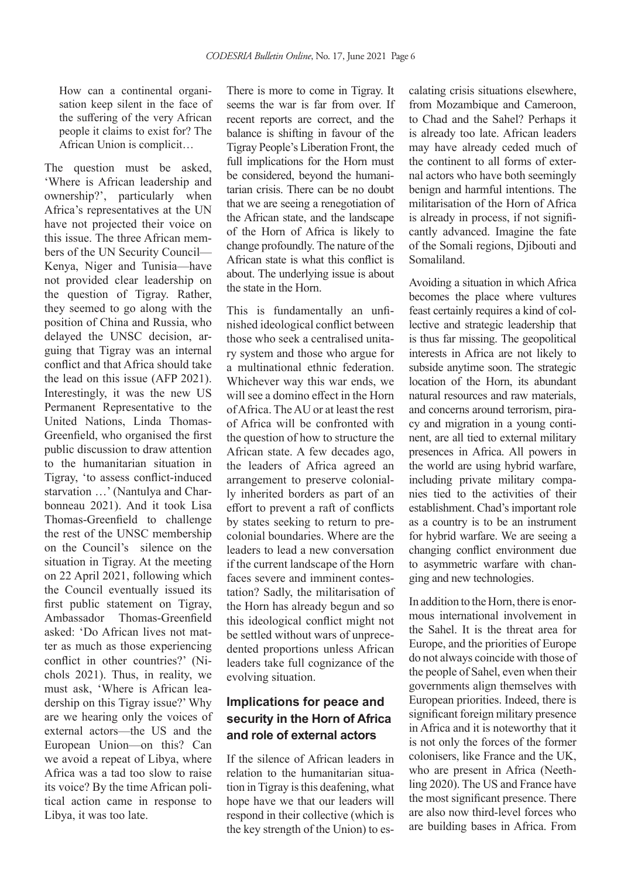How can a continental organisation keep silent in the face of the suffering of the very African people it claims to exist for? The African Union is complicit…

The question must be asked, 'Where is African leadership and ownership?', particularly when Africa's representatives at the UN have not projected their voice on this issue. The three African members of the UN Security Council— Kenya, Niger and Tunisia—have not provided clear leadership on the question of Tigray. Rather, they seemed to go along with the position of China and Russia, who delayed the UNSC decision, arguing that Tigray was an internal conflict and that Africa should take the lead on this issue (AFP 2021). Interestingly, it was the new US Permanent Representative to the United Nations, Linda Thomas-Greenfield, who organised the first public discussion to draw attention to the humanitarian situation in Tigray, 'to assess conflict-induced starvation …' (Nantulya and Charbonneau 2021). And it took Lisa Thomas-Greenfield to challenge the rest of the UNSC membership on the Council's silence on the situation in Tigray. At the meeting on 22 April 2021, following which the Council eventually issued its first public statement on Tigray, Ambassador Thomas-Greenfield asked: 'Do African lives not matter as much as those experiencing conflict in other countries?' (Nichols 2021). Thus, in reality, we must ask, 'Where is African leadership on this Tigray issue?' Why are we hearing only the voices of external actors—the US and the European Union—on this? Can we avoid a repeat of Libya, where Africa was a tad too slow to raise its voice? By the time African political action came in response to Libya, it was too late.

There is more to come in Tigray. It seems the war is far from over. If recent reports are correct, and the balance is shifting in favour of the Tigray People's Liberation Front, the full implications for the Horn must be considered, beyond the humanitarian crisis. There can be no doubt that we are seeing a renegotiation of the African state, and the landscape of the Horn of Africa is likely to change profoundly. The nature of the African state is what this conflict is about. The underlying issue is about the state in the Horn.

This is fundamentally an unfinished ideological conflict between those who seek a centralised unitary system and those who argue for a multinational ethnic federation. Whichever way this war ends, we will see a domino effect in the Horn of Africa. The AU or at least the rest of Africa will be confronted with the question of how to structure the African state. A few decades ago, the leaders of Africa agreed an arrangement to preserve colonially inherited borders as part of an effort to prevent a raft of conflicts by states seeking to return to precolonial boundaries. Where are the leaders to lead a new conversation if the current landscape of the Horn faces severe and imminent contestation? Sadly, the militarisation of the Horn has already begun and so this ideological conflict might not be settled without wars of unprecedented proportions unless African leaders take full cognizance of the evolving situation.

## **Implications for peace and security in the Horn of Africa and role of external actors**

If the silence of African leaders in relation to the humanitarian situation in Tigray is this deafening, what hope have we that our leaders will respond in their collective (which is the key strength of the Union) to escalating crisis situations elsewhere, from Mozambique and Cameroon, to Chad and the Sahel? Perhaps it is already too late. African leaders may have already ceded much of the continent to all forms of external actors who have both seemingly benign and harmful intentions. The militarisation of the Horn of Africa is already in process, if not significantly advanced. Imagine the fate of the Somali regions, Djibouti and Somaliland.

Avoiding a situation in which Africa becomes the place where vultures feast certainly requires a kind of collective and strategic leadership that is thus far missing. The geopolitical interests in Africa are not likely to subside anytime soon. The strategic location of the Horn, its abundant natural resources and raw materials, and concerns around terrorism, piracy and migration in a young continent, are all tied to external military presences in Africa. All powers in the world are using hybrid warfare, including private military companies tied to the activities of their establishment. Chad's important role as a country is to be an instrument for hybrid warfare. We are seeing a changing conflict environment due to asymmetric warfare with changing and new technologies.

In addition to the Horn, there is enormous international involvement in the Sahel. It is the threat area for Europe, and the priorities of Europe do not always coincide with those of the people of Sahel, even when their governments align themselves with European priorities. Indeed, there is significant foreign military presence in Africa and it is noteworthy that it is not only the forces of the former colonisers, like France and the UK, who are present in Africa (Neethling 2020). The US and France have the most significant presence. There are also now third-level forces who are building bases in Africa. From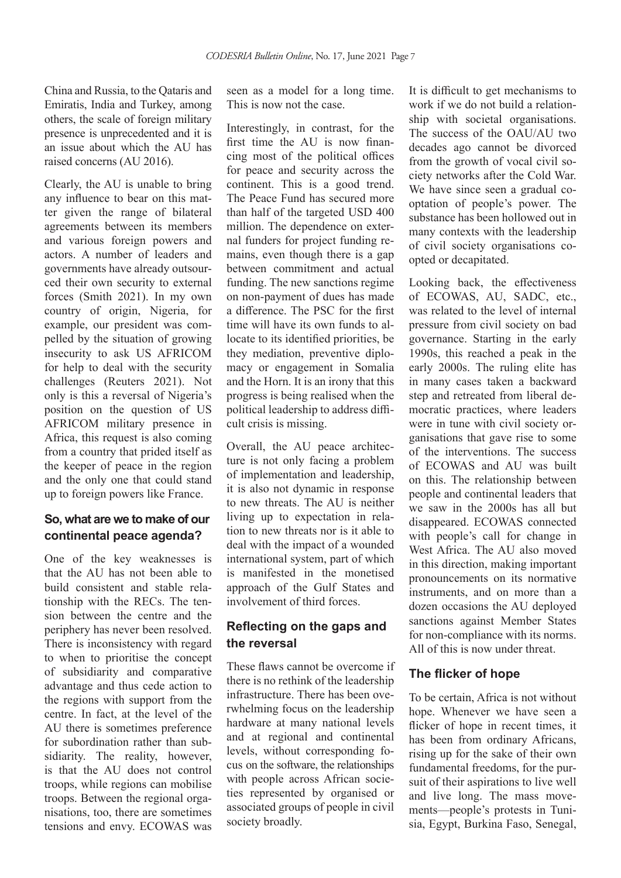China and Russia, to the Qataris and Emiratis, India and Turkey, among others, the scale of foreign military presence is unprecedented and it is an issue about which the AU has raised concerns (AU 2016).

Clearly, the AU is unable to bring any influence to bear on this matter given the range of bilateral agreements between its members and various foreign powers and actors. A number of leaders and governments have already outsourced their own security to external forces (Smith 2021). In my own country of origin, Nigeria, for example, our president was compelled by the situation of growing insecurity to ask US AFRICOM for help to deal with the security challenges (Reuters 2021). Not only is this a reversal of Nigeria's position on the question of US AFRICOM military presence in Africa, this request is also coming from a country that prided itself as the keeper of peace in the region and the only one that could stand up to foreign powers like France.

#### **So, what are we to make of our continental peace agenda?**

One of the key weaknesses is that the AU has not been able to build consistent and stable relationship with the RECs. The tension between the centre and the periphery has never been resolved. There is inconsistency with regard to when to prioritise the concept of subsidiarity and comparative advantage and thus cede action to the regions with support from the centre. In fact, at the level of the AU there is sometimes preference for subordination rather than subsidiarity. The reality, however, is that the AU does not control troops, while regions can mobilise troops. Between the regional organisations, too, there are sometimes tensions and envy. ECOWAS was seen as a model for a long time. This is now not the case.

Interestingly, in contrast, for the first time the AU is now financing most of the political offices for peace and security across the continent. This is a good trend. The Peace Fund has secured more than half of the targeted USD 400 million. The dependence on external funders for project funding remains, even though there is a gap between commitment and actual funding. The new sanctions regime on non-payment of dues has made a difference. The PSC for the first time will have its own funds to allocate to its identified priorities, be they mediation, preventive diplomacy or engagement in Somalia and the Horn. It is an irony that this progress is being realised when the political leadership to address difficult crisis is missing.

Overall, the AU peace architecture is not only facing a problem of implementation and leadership, it is also not dynamic in response to new threats. The AU is neither living up to expectation in relation to new threats nor is it able to deal with the impact of a wounded international system, part of which is manifested in the monetised approach of the Gulf States and involvement of third forces.

### **Reflecting on the gaps and the reversal**

These flaws cannot be overcome if there is no rethink of the leadership infrastructure. There has been overwhelming focus on the leadership hardware at many national levels and at regional and continental levels, without corresponding focus on the software, the relationships with people across African societies represented by organised or associated groups of people in civil society broadly.

It is difficult to get mechanisms to work if we do not build a relationship with societal organisations. The success of the OAU/AU two decades ago cannot be divorced from the growth of vocal civil society networks after the Cold War. We have since seen a gradual cooptation of people's power. The substance has been hollowed out in many contexts with the leadership of civil society organisations coopted or decapitated.

Looking back, the effectiveness of ECOWAS, AU, SADC, etc., was related to the level of internal pressure from civil society on bad governance. Starting in the early 1990s, this reached a peak in the early 2000s. The ruling elite has in many cases taken a backward step and retreated from liberal democratic practices, where leaders were in tune with civil society organisations that gave rise to some of the interventions. The success of ECOWAS and AU was built on this. The relationship between people and continental leaders that we saw in the 2000s has all but disappeared. ECOWAS connected with people's call for change in West Africa. The AU also moved in this direction, making important pronouncements on its normative instruments, and on more than a dozen occasions the AU deployed sanctions against Member States for non-compliance with its norms. All of this is now under threat.

#### **The flicker of hope**

To be certain, Africa is not without hope. Whenever we have seen a flicker of hope in recent times, it has been from ordinary Africans, rising up for the sake of their own fundamental freedoms, for the pursuit of their aspirations to live well and live long. The mass movements—people's protests in Tunisia, Egypt, Burkina Faso, Senegal,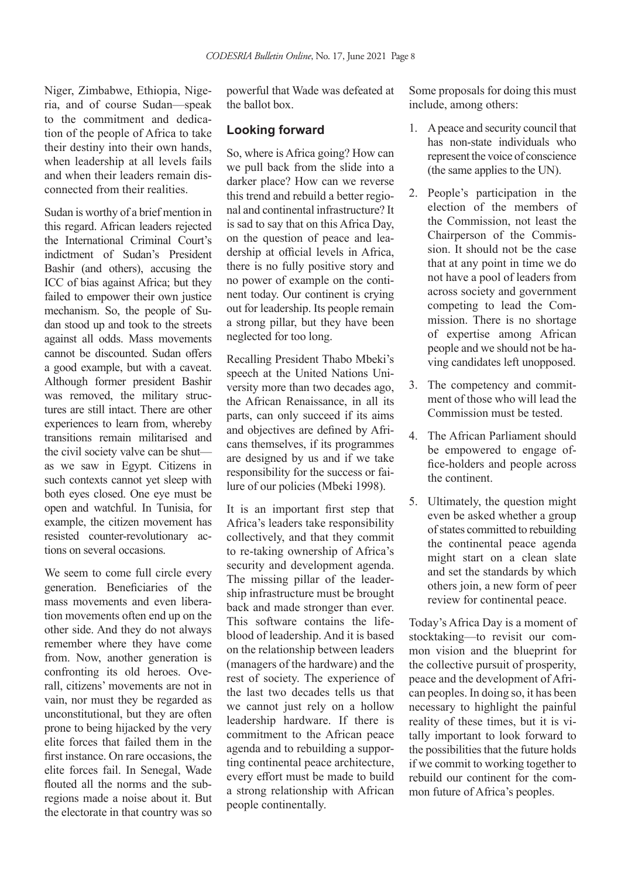Niger, Zimbabwe, Ethiopia, Nigeria, and of course Sudan—speak to the commitment and dedication of the people of Africa to take their destiny into their own hands, when leadership at all levels fails and when their leaders remain disconnected from their realities.

Sudan is worthy of a brief mention in this regard. African leaders rejected the International Criminal Court's indictment of Sudan's President Bashir (and others), accusing the ICC of bias against Africa; but they failed to empower their own justice mechanism. So, the people of Sudan stood up and took to the streets against all odds. Mass movements cannot be discounted. Sudan offers a good example, but with a caveat. Although former president Bashir was removed, the military structures are still intact. There are other experiences to learn from, whereby transitions remain militarised and the civil society valve can be shut as we saw in Egypt. Citizens in such contexts cannot yet sleep with both eyes closed. One eye must be open and watchful. In Tunisia, for example, the citizen movement has resisted counter-revolutionary actions on several occasions.

We seem to come full circle every generation. Beneficiaries of the mass movements and even liberation movements often end up on the other side. And they do not always remember where they have come from. Now, another generation is confronting its old heroes. Overall, citizens' movements are not in vain, nor must they be regarded as unconstitutional, but they are often prone to being hijacked by the very elite forces that failed them in the first instance. On rare occasions, the elite forces fail. In Senegal, Wade flouted all the norms and the subregions made a noise about it. But the electorate in that country was so

powerful that Wade was defeated at the ballot box.

#### **Looking forward**

So, where is Africa going? How can we pull back from the slide into a darker place? How can we reverse this trend and rebuild a better regional and continental infrastructure? It is sad to say that on this Africa Day, on the question of peace and leadership at official levels in Africa, there is no fully positive story and no power of example on the continent today. Our continent is crying out for leadership. Its people remain a strong pillar, but they have been neglected for too long.

Recalling President Thabo Mbeki's speech at the United Nations University more than two decades ago, the African Renaissance, in all its parts, can only succeed if its aims and objectives are defined by Africans themselves, if its programmes are designed by us and if we take responsibility for the success or failure of our policies (Mbeki 1998).

It is an important first step that Africa's leaders take responsibility collectively, and that they commit to re-taking ownership of Africa's security and development agenda. The missing pillar of the leadership infrastructure must be brought back and made stronger than ever. This software contains the lifeblood of leadership. And it is based on the relationship between leaders (managers of the hardware) and the rest of society. The experience of the last two decades tells us that we cannot just rely on a hollow leadership hardware. If there is commitment to the African peace agenda and to rebuilding a supporting continental peace architecture, every effort must be made to build a strong relationship with African people continentally.

Some proposals for doing this must include, among others:

- 1. A peace and security council that has non-state individuals who represent the voice of conscience (the same applies to the UN).
- 2. People's participation in the election of the members of the Commission, not least the Chairperson of the Commission. It should not be the case that at any point in time we do not have a pool of leaders from across society and government competing to lead the Commission. There is no shortage of expertise among African people and we should not be having candidates left unopposed.
- 3. The competency and commitment of those who will lead the Commission must be tested.
- 4. The African Parliament should be empowered to engage office-holders and people across the continent.
- 5. Ultimately, the question might even be asked whether a group of states committed to rebuilding the continental peace agenda might start on a clean slate and set the standards by which others join, a new form of peer review for continental peace.

Today's Africa Day is a moment of stocktaking—to revisit our common vision and the blueprint for the collective pursuit of prosperity, peace and the development of African peoples. In doing so, it has been necessary to highlight the painful reality of these times, but it is vitally important to look forward to the possibilities that the future holds if we commit to working together to rebuild our continent for the common future of Africa's peoples.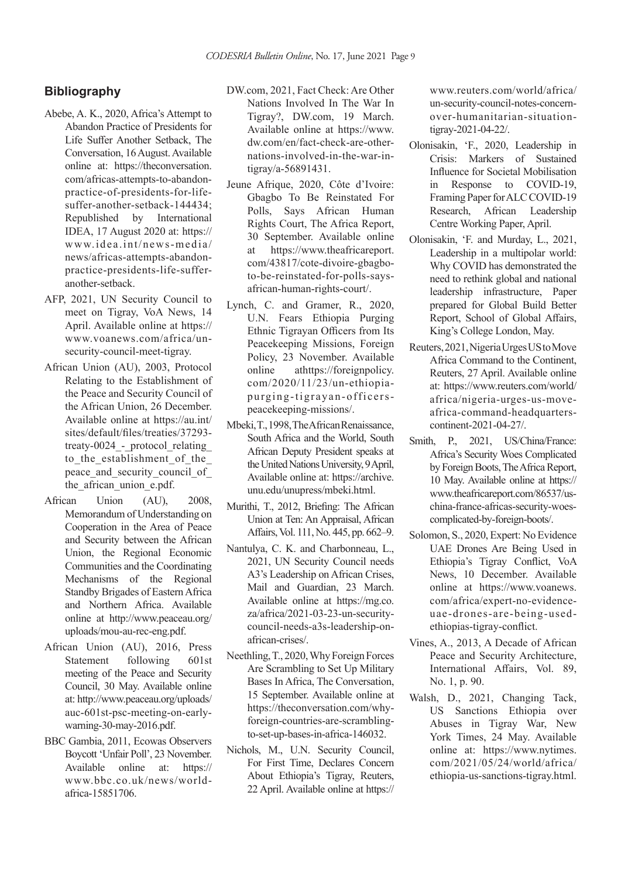#### **Bibliography**

- Abebe, A. K., 2020, Africa's Attempt to Abandon Practice of Presidents for Life Suffer Another Setback, The Conversation, 16 August. Available online at: https://theconversation. com/africas-attempts-to-abandonpractice-of-presidents-for-lifesuffer-another-setback-144434; Republished by International IDEA, 17 August 2020 at: https:// www.idea.int/news-media/ news/africas-attempts-abandonpractice-presidents-life-sufferanother-setback.
- AFP, 2021, UN Security Council to meet on Tigray, VoA News, 14 April. Available online at https:// www.voanews.com/africa/unsecurity-council-meet-tigray.
- African Union (AU), 2003, Protocol Relating to the Establishment of the Peace and Security Council of the African Union, 26 December. Available online at https://au.int/ sites/default/files/treaties/37293 treaty-0024 - protocol relating to the establishment of the peace and security council of the african union e.pdf.
- African Union (AU), 2008, Memorandum of Understanding on Cooperation in the Area of Peace and Security between the African Union, the Regional Economic Communities and the Coordinating Mechanisms of the Regional Standby Brigades of Eastern Africa and Northern Africa. Available online at http://www.peaceau.org/ uploads/mou-au-rec-eng.pdf.
- African Union (AU), 2016, Press Statement following 601st meeting of the Peace and Security Council, 30 May. Available online at: http://www.peaceau.org/uploads/ auc-601st-psc-meeting-on-earlywarning-30-may-2016.pdf.
- BBC Gambia, 2011, Ecowas Observers Boycott 'Unfair Poll', 23 November. Available online at: https:// www.bbc.co.uk/news/worldafrica-15851706.
- DW.com, 2021, Fact Check: Are Other Nations Involved In The War In Tigray?, DW.com, 19 March. Available online at https://www. dw.com/en/fact-check-are-othernations-involved-in-the-war-intigray/a-56891431.
- Jeune Afrique, 2020, Côte d'Ivoire: Gbagbo To Be Reinstated For Polls, Says African Human Rights Court, The Africa Report, 30 September. Available online at https://www.theafricareport. com/43817/cote-divoire-gbagboto-be-reinstated-for-polls-saysafrican-human-rights-court/.
- Lynch, C. and Gramer, R., 2020, U.N. Fears Ethiopia Purging Ethnic Tigrayan Officers from Its Peacekeeping Missions, Foreign Policy, 23 November. Available online athttps://foreignpolicy. com/2020/11/23/un-ethiopiapurging-tigrayan-officerspeacekeeping-missions/.
- Mbeki, T., 1998, The African Renaissance, South Africa and the World, South African Deputy President speaks at the United Nations University, 9 April, Available online at: https://archive. unu.edu/unupress/mbeki.html.
- Murithi, T., 2012, Briefing: The African Union at Ten: An Appraisal, African Affairs, Vol. 111, No. 445, pp. 662–9.
- Nantulya, C. K. and Charbonneau, L., 2021, UN Security Council needs A3's Leadership on African Crises, Mail and Guardian, 23 March. Available online at https://mg.co. za/africa/2021-03-23-un-securitycouncil-needs-a3s-leadership-onafrican-crises/.
- Neethling, T., 2020, Why Foreign Forces Are Scrambling to Set Up Military Bases In Africa, The Conversation, 15 September. Available online at https://theconversation.com/whyforeign-countries-are-scramblingto-set-up-bases-in-africa-146032.
- Nichols, M., U.N. Security Council, For First Time, Declares Concern About Ethiopia's Tigray, Reuters, 22 April. Available online at https://

www.reuters.com/world/africa/ un-security-council-notes-concernover-humanitarian-situationtigray-2021-04-22/.

- Olonisakin, 'F., 2020, Leadership in Crisis: Markers of Sustained Influence for Societal Mobilisation in Response to COVID-19, Framing Paper for ALC COVID-19 Research, African Leadership Centre Working Paper, April.
- Olonisakin, 'F. and Murday, L., 2021, Leadership in a multipolar world: Why COVID has demonstrated the need to rethink global and national leadership infrastructure, Paper prepared for Global Build Better Report, School of Global Affairs, King's College London, May.
- Reuters, 2021, Nigeria Urges US to Move Africa Command to the Continent, Reuters, 27 April. Available online at: https://www.reuters.com/world/ africa/nigeria-urges-us-moveafrica-command-headquarterscontinent-2021-04-27/.
- Smith, P., 2021, US/China/France: Africa's Security Woes Complicated by Foreign Boots, The Africa Report, 10 May. Available online at https:// www.theafricareport.com/86537/uschina-france-africas-security-woescomplicated-by-foreign-boots/.
- Solomon, S., 2020, Expert: No Evidence UAE Drones Are Being Used in Ethiopia's Tigray Conflict, VoA News, 10 December. Available online at https://www.voanews. com/africa/expert-no-evidenceuae-drones-are-being-usedethiopias-tigray-conflict.
- Vines, A., 2013, A Decade of African Peace and Security Architecture, International Affairs, Vol. 89, No. 1, p. 90.
- Walsh, D., 2021, Changing Tack, US Sanctions Ethiopia over Abuses in Tigray War, New York Times, 24 May. Available online at: https://www.nytimes. com/2021/05/24/world/africa/ ethiopia-us-sanctions-tigray.html.